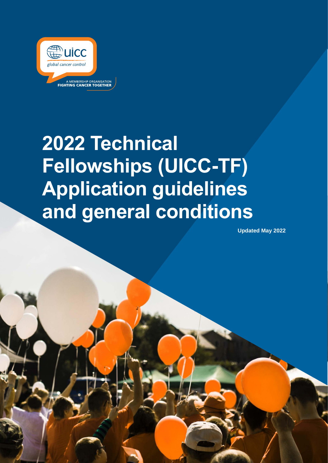

# **2022 Technical Fellowships (UICC-TF) Application guidelines and general conditions**

**Updated May 2022**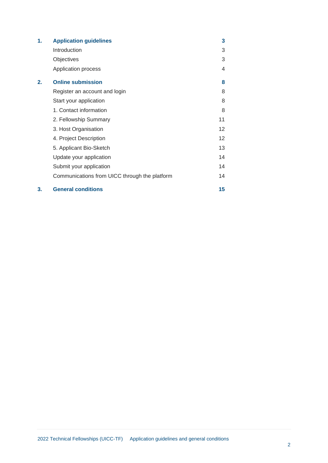| 1. | <b>Application guidelines</b>                 | 3  |
|----|-----------------------------------------------|----|
|    | Introduction                                  | 3  |
|    | Objectives                                    | 3  |
|    | Application process                           | 4  |
| 2. | <b>Online submission</b>                      | 8  |
|    | Register an account and login                 | 8  |
|    | Start your application                        | 8  |
|    | 1. Contact information                        | 8  |
|    | 2. Fellowship Summary                         | 11 |
|    | 3. Host Organisation                          | 12 |
|    | 4. Project Description                        | 12 |
|    | 5. Applicant Bio-Sketch                       | 13 |
|    | Update your application                       | 14 |
|    | Submit your application                       | 14 |
|    | Communications from UICC through the platform | 14 |
| 3. | <b>General conditions</b>                     | 15 |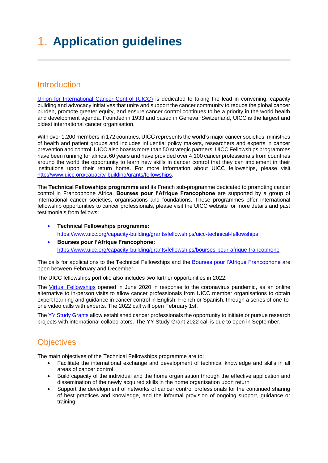# <span id="page-2-0"></span>1. **Application guidelines**

# <span id="page-2-1"></span>**Introduction**

[Union for International Cancer Control \(UICC\)](https://www.uicc.org/) is dedicated to taking the lead in convening, capacity building and advocacy initiatives that unite and support the cancer community to reduce the global cancer burden, promote greater equity, and ensure cancer control continues to be a priority in the world health and development agenda. Founded in 1933 and based in Geneva, Switzerland, UICC is the largest and oldest international cancer organisation.

With over 1,200 members in 172 countries, UICC represents the world's major cancer societies, ministries of health and patient groups and includes influential policy makers, researchers and experts in cancer prevention and control. UICC also boasts more than 50 strategic partners. UICC Fellowships programmes have been running for almost 60 years and have provided over 4,100 cancer professionals from countries around the world the opportunity to learn new skills in cancer control that they can implement in their institutions upon their return home. For more information about UICC fellowships, please visit [http://www.uicc.org/capacity-building/grants/fellowships.](http://www.uicc.org/capacity-building/grants/fellowships)

The **Technical Fellowships programme** and its French sub-programme dedicated to promoting cancer control in Francophone Africa, **Bourses pour l'Afrique Francophone** are supported by a group of international cancer societies, organisations and foundations. These programmes offer international fellowship opportunities to cancer professionals, please visit the UICC website for more details and past testimonials from fellows:

- **Technical Fellowships programme:** <https://www.uicc.org/capacity-building/grants/fellowships/uicc-technical-fellowships>
- **Bourses pour l'Afrique Francophone:** <https://www.uicc.org/capacity-building/grants/fellowships/bourses-pour-afrique-francophone>

The calls for applications to the Technical Fellowships and the [Bourses pour l'Afrique Francophone](https://www.uicc.org/what-we-do/capacity-building/fellowships/bourses-pour-l%E2%80%99afrique-francophone-baf) are open between February and December.

The UICC fellowships portfolio also includes two further opportunities in 2022:

The [Virtual Fellowships](https://www.uicc.org/what-we-do/capacity-building/fellowships/virtual-fellowships) opened in June 2020 in response to the coronavirus pandemic, as an online alternative to in-person visits to allow cancer professionals from UICC member organisations to obtain expert learning and guidance in cancer control in English, French or Spanish, through a series of one-toone video calls with experts. The 2022 call will open February 1st.

Th[e YY Study Grants](https://www.uicc.org/what-we-do/capacity-building/grants/fellowships/yamagiwa-yoshida-memorial-international-study-grants) allow established cancer professionals the opportunity to initiate or pursue research projects with international collaborators. The YY Study Grant 2022 call is due to open in September.

# <span id="page-2-2"></span>**Objectives**

The main objectives of the Technical Fellowships programme are to:

- Facilitate the international exchange and development of technical knowledge and skills in all areas of cancer control.
- Build capacity of the individual and the home organisation through the effective application and dissemination of the newly acquired skills in the home organisation upon return
- Support the development of networks of cancer control professionals for the continued sharing of best practices and knowledge, and the informal provision of ongoing support, guidance or training.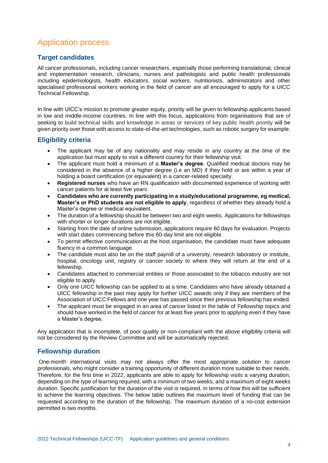# <span id="page-3-0"></span>Application process

#### **Target candidates**

All cancer professionals, including cancer researchers, especially those performing translational, clinical and implementation research, clinicians, nurses and pathologists and public health professionals including epidemiologists, health educators, social workers, nutritionists, administrators and other specialised professional workers working in the field of cancer are all encouraged to apply for a UICC Technical Fellowship.

In line with UICC's mission to promote greater equity, priority will be given to fellowship applicants based in low and middle-income countries. In line with this focus, applications from organisations that are of seeking to build technical skills and knowledge in areas or services of key public health priority will be given priority over those with access to state-of-the-art technologies, such as robotic surgery for example.

#### **Eligibility criteria**

- The applicant may be of any nationality and may reside in any country at the time of the application but must apply to visit a different country for their fellowship visit.
- The applicant must hold a minimum of a **Master's degree**. Qualified medical doctors may be considered in the absence of a higher degree (i.e an MD) if they hold or are within a year of holding a board certification (or equivalent) in a cancer-related specialty.
- **Registered nurses** who have an RN qualification with documented experience of working with cancer patients for at least five years.
- **Candidates who are currently participating in a study/educational programme, eg medical, Master's or PhD students are not eligible to apply**, regardless of whether they already hold a Master's degree or medical equivalent.
- The duration of a fellowship should be between two and eight weeks. Applications for fellowships with shorter or longer durations are not eligible.
- Starting from the date of online submission, applications require 60 days for evaluation. Projects with start dates commencing before this 60-day limit are not eligible.
- To permit effective communication at the host organisation, the candidate must have adequate fluency in a common language.
- The candidate must also be on the staff payroll of a university, research laboratory or institute, hospital, oncology unit, registry or cancer society to where they will return at the end of a fellowship.
- Candidates attached to commercial entities or those associated to the tobacco industry are not eligible to apply.
- Only one UICC fellowship can be applied to at a time. Candidates who have already obtained a UICC fellowship in the past may apply for further UICC awards only if they are members of the Association of UICC Fellows and one year has passed since their previous fellowship has ended.
- The applicant must be engaged in an area of cancer listed in the table of Fellowship topics and should have worked in the field of cancer for at least five years prior to applying even if they have a Master's degree.

Any application that is incomplete, of poor quality or non-compliant with the above eligibility criteria will not be considered by the Review Committee and will be automatically rejected.

#### **Fellowship duration**

One-month international visits may not always offer the most appropriate solution to cancer professionals, who might consider a training opportunity of different duration more suitable to their needs. Therefore, for the first time in 2022, applicants are able to apply for fellowship visits a varying duration, depending on the type of learning required, with a minimum of two weeks, and a maximum of eight weeks duration. Specific justification for the duration of the visit is required, in terms of how this will be sufficient to achieve the learning objectives. The below table outlines the maximum level of funding that can be requested according to the duration of the fellowship. The maximum duration of a no-cost extension permitted is two months.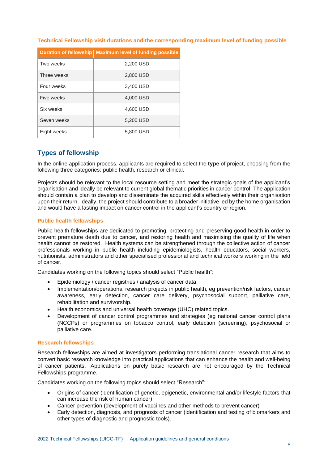|  |  | Technical Fellowship visit durations and the corresponding maximum level of funding possible |  |  |
|--|--|----------------------------------------------------------------------------------------------|--|--|
|  |  |                                                                                              |  |  |
|  |  |                                                                                              |  |  |

| <b>Duration of fellowship</b> | <b>Maximum level of funding possible</b> |
|-------------------------------|------------------------------------------|
| Two weeks                     | 2,200 USD                                |
| Three weeks                   | 2,800 USD                                |
| Four weeks                    | 3,400 USD                                |
| Five weeks                    | 4,000 USD                                |
| Six weeks                     | 4,600 USD                                |
| Seven weeks                   | 5,200 USD                                |
| Eight weeks                   | 5,800 USD                                |

#### **Types of fellowship**

In the online application process, applicants are required to select the **type** of project, choosing from the following three categories: public health, research or clinical.

Projects should be relevant to the local resource setting and meet the strategic goals of the applicant's organisation and ideally be relevant to current global thematic priorities in cancer control. The application should contain a plan to develop and disseminate the acquired skills effectively within their organisation upon their return. Ideally, the project should contribute to a broader initiative led by the home organisation and would have a lasting impact on cancer control in the applicant's country or region.

#### **Public health fellowships**

Public health fellowships are dedicated to promoting, protecting and preserving good health in order to prevent premature death due to cancer, and restoring health and maximising the quality of life when health cannot be restored. Health systems can be strengthened through the collective action of cancer professionals working in public health including epidemiologists, health educators, social workers, nutritionists, administrators and other specialised professional and technical workers working in the field of cancer.

Candidates working on the following topics should select "Public health":

- Epidemiology / cancer registries / analysis of cancer data.
- Implementation/operational research projects in public health, eg prevention/risk factors, cancer awareness, early detection, cancer care delivery, psychosocial support, palliative care, rehabilitation and survivorship.
- Health economics and universal health coverage (UHC) related topics.
- Development of cancer control programmes and strategies (eg national cancer control plans (NCCPs) or programmes on tobacco control, early detection (screening), psychosocial or palliative care.

#### **Research fellowships**

Research fellowships are aimed at investigators performing translational cancer research that aims to convert basic research knowledge into practical applications that can enhance the health and well-being of cancer patients. Applications on purely basic research are not encouraged by the Technical Fellowships programme.

Candidates working on the following topics should select "Research":

- Origins of cancer (identification of genetic, epigenetic, environmental and/or lifestyle factors that can increase the risk of human cancer)
- Cancer prevention (development of vaccines and other methods to prevent cancer)
- Early detection, diagnosis, and prognosis of cancer (identification and testing of biomarkers and other types of diagnostic and prognostic tools).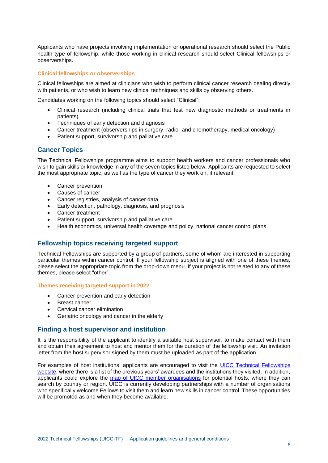Applicants who have projects involving implementation or operational research should select the Public health type of fellowship, while those working in clinical research should select Clinical fellowships or observerships.

#### **Clinical fellowships or observerships**

Clinical fellowships are aimed at clinicians who wish to perform clinical cancer research dealing directly with patients, or who wish to learn new clinical techniques and skills by observing others.

Candidates working on the following topics should select "Clinical":

- Clinical research (including clinical trials that test new diagnostic methods or treatments in patients)
- Techniques of early detection and diagnosis
- Cancer treatment (observerships in surgery, radio- and chemotherapy, medical oncology)
- Patient support, survivorship and palliative care.

#### **Cancer Topics**

The Technical Fellowships programme aims to support health workers and cancer professionals who wish to gain skills or knowledge in any of the seven topics listed below. Applicants are requested to select the most appropriate topic, as well as the type of cancer they work on, if relevant.

- Cancer prevention
- Causes of cancer
- Cancer registries, analysis of cancer data
- Early detection, pathology, diagnosis, and prognosis
- Cancer treatment
- Patient support, survivorship and palliative care
- Health economics, universal health coverage and policy, national cancer control plans

#### **Fellowship topics receiving targeted support**

Technical Fellowships are supported by a group of partners, some of whom are interested in supporting particular themes within cancer control. If your fellowship subject is aligned with one of these themes, please select the appropriate topic from the drop-down menu. If your project is not related to any of these themes, please select "other".

#### **Themes receiving targeted support in 2022**

- Cancer prevention and early detection
- Breast cancer
- Cervical cancer elimination
- Geriatric oncology and cancer in the elderly

#### **Finding a host supervisor and institution**

It is the responsibility of the applicant to identify a suitable host supervisor, to make contact with them and obtain their agreement to host and mentor them for the duration of the fellowship visit. An invitation letter from the host supervisor signed by them must be uploaded as part of the application.

For examples of host institutions, applicants are encouraged to visit the [UICC Technical Fellowships](file://///uicc0.local/Data/Departments/Capacity%20Building/FandW/Fellowships/Altum%20ProposalCentral/Altum%20GMS%20All%20Files/ProposalCentral%20templates%20FINAL/UICC-TF/Most%20recent%20versions/(https:/www.uicc.org/capacity-building/grants/fellowships/uicc-technical-fellowships)  [website,](file://///uicc0.local/Data/Departments/Capacity%20Building/FandW/Fellowships/Altum%20ProposalCentral/Altum%20GMS%20All%20Files/ProposalCentral%20templates%20FINAL/UICC-TF/Most%20recent%20versions/(https:/www.uicc.org/capacity-building/grants/fellowships/uicc-technical-fellowships) where there is a list of the previous years' awardees and the institutions they visited. In addition, applicants could explore the [map of UICC member organisations](https://www.uicc.org/membership) for potential hosts, where they can search by country or region. UICC is currently developing partnerships with a number of organisations who specifically welcome Fellows to visit them and learn new skills in cancer control. These opportunities will be promoted as and when they become available.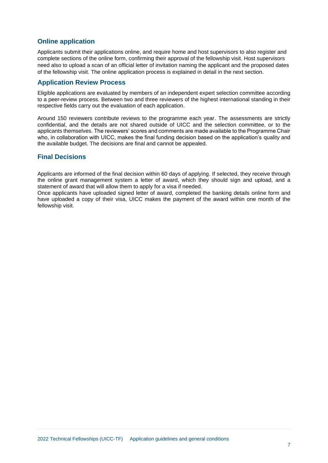#### **Online application**

Applicants submit their applications online, and require home and host supervisors to also register and complete sections of the online form, confirming their approval of the fellowship visit. Host supervisors need also to upload a scan of an official letter of invitation naming the applicant and the proposed dates of the fellowship visit. The online application process is explained in detail in the next section.

#### **Application Review Process**

Eligible applications are evaluated by members of an independent expert selection committee according to a peer-review process. Between two and three reviewers of the highest international standing in their respective fields carry out the evaluation of each application.

Around 150 reviewers contribute reviews to the programme each year. The assessments are strictly confidential, and the details are not shared outside of UICC and the selection committee, or to the applicants themselves. The reviewers' scores and comments are made available to the Programme Chair who, in collaboration with UICC, makes the final funding decision based on the application's quality and the available budget. The decisions are final and cannot be appealed.

#### **Final Decisions**

Applicants are informed of the final decision within 60 days of applying. If selected, they receive through the online grant management system a letter of award, which they should sign and upload, and a statement of award that will allow them to apply for a visa if needed.

Once applicants have uploaded signed letter of award, completed the banking details online form and have uploaded a copy of their visa, UICC makes the payment of the award within one month of the fellowship visit.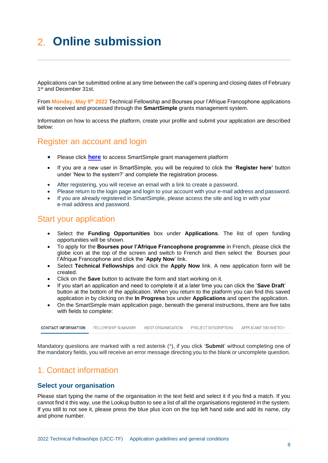# <span id="page-7-0"></span>2. **Online submission**

Applications can be submitted online at any time between the call's opening and closing dates of February 1st and December 31st.

From Monday, May 9<sup>th</sup> 2022 Technical Fellowship and Bourses pour l'Afrique Francophone applications will be received and processed through the **SmartSimple** grants management system.

Information on how to access the platform, create your profile and submit your application are described below:

### <span id="page-7-1"></span>Register an account and login

- Please click **[here](https://uicc.eu-1.smartsimple.eu/)** to access SmartSimple grant management platform
- If you are a new user in SmartSimple, you will be required to click the '**Register here'** button under 'New to the system?' and complete the registration process.
- After registering, you will receive an email with a link to create a password.
- Please return to the login page and login to your account with your e-mail address and password.
- If you are already registered in SmartSimple, please access the site and log in with your e-mail address and password.

### <span id="page-7-2"></span>Start your application

- Select the **Funding Opportunities** box under **Applications**. The list of open funding opportunities will be shown.
- To apply for the **Bourses pour l'Afrique Francophone programme** in French, please click the globe icon at the top of the screen and switch to French and then select the Bourses pour l'Afrique Francophone and click the '**Apply Now**' link.
- Select **Technical Fellowships** and click the **Apply Now** link. A new application form will be created.
- Click on the **Save** button to activate the form and start working on it.
- If you start an application and need to complete it at a later time you can click the '**Save Draft**' button at the bottom of the application. When you return to the platform you can find this saved application in by clicking on the **In Progress** box under **Applications** and open the application.
- On the SmartSimple main application page, beneath the general instructions, there are five tabs with fields to complete:

**CONTACT INFORMATION FELLOWSHIP SUMMARY HOST ORGANISATION** PROJECT DESCRIPTION **APPLICANT BIO-SKETCH** 

Mandatory questions are marked with a red asterisk (\*), if you click '**Submit**' without completing one of the mandatory fields, you will receive an error message directing you to the blank or uncomplete question.

### <span id="page-7-3"></span>1. Contact information

#### **Select your organisation**

Please start typing the name of the organisation in the text field and select it if you find a match. If you cannot find it this way, use the Lookup button to see a list of all the organisations registered in the system. If you still to not see it, please press the blue plus icon on the top left hand side and add its name, city and phone number.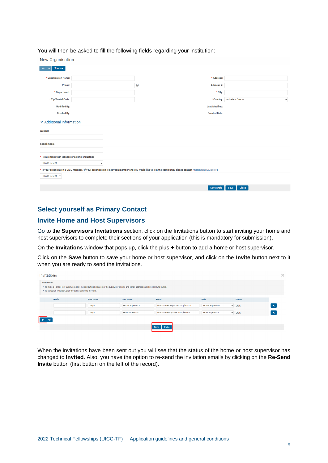You will then be asked to fill the following fields regarding your institution:

| New Organisation                                  |             |                                                                                                                                                            |                                   |  |  |  |  |  |
|---------------------------------------------------|-------------|------------------------------------------------------------------------------------------------------------------------------------------------------------|-----------------------------------|--|--|--|--|--|
| Tools $\blacktriangledown$                        |             |                                                                                                                                                            |                                   |  |  |  |  |  |
| * Organisation Name:                              |             | * Address:                                                                                                                                                 |                                   |  |  |  |  |  |
| Phone:                                            |             | $\bullet$<br>Address 2:                                                                                                                                    |                                   |  |  |  |  |  |
| * Department:                                     |             | * City:                                                                                                                                                    |                                   |  |  |  |  |  |
| * Zip/Postal Code:                                |             | * Country:                                                                                                                                                 | --- Select One ---<br>$\check{~}$ |  |  |  |  |  |
| <b>Modified By:</b>                               |             | <b>Last Modified:</b>                                                                                                                                      |                                   |  |  |  |  |  |
| <b>Created By:</b>                                |             | <b>Created Date:</b>                                                                                                                                       |                                   |  |  |  |  |  |
| ▼ Additional Information                          |             |                                                                                                                                                            |                                   |  |  |  |  |  |
| Website                                           |             |                                                                                                                                                            |                                   |  |  |  |  |  |
|                                                   |             |                                                                                                                                                            |                                   |  |  |  |  |  |
| Social media                                      |             |                                                                                                                                                            |                                   |  |  |  |  |  |
|                                                   |             |                                                                                                                                                            |                                   |  |  |  |  |  |
| * Relationship with tobacco or alcohol industries |             |                                                                                                                                                            |                                   |  |  |  |  |  |
| <b>Please Select</b>                              | $\check{~}$ |                                                                                                                                                            |                                   |  |  |  |  |  |
|                                                   |             | * Is your organisation a UICC member? If your organisation is not yet a member and you would like to join the community please contact membership@uicc.org |                                   |  |  |  |  |  |
| Please Select v                                   |             |                                                                                                                                                            |                                   |  |  |  |  |  |
|                                                   |             | <b>Save Draft</b>                                                                                                                                          | Close<br>Save                     |  |  |  |  |  |

#### **Select yourself as Primary Contact**

#### **Invite Home and Host Supervisors**

Go to the **Supervisors Invitations** section, click on the Invitations button to start inviting your home and host supervisors to complete their sections of your application (this is mandatory for submission).

On the **Invitations** window that pops up, click the plus **+** button to add a home or host supervisor.

Click on the **Save** button to save your home or host supervisor, and click on the **Invite** button next to it when you are ready to send the invitations.

| <b>Invitations</b>                                                                                                                                                                                                                     |        |                   |                        |                              |                                        |               | $\times$                  |  |  |
|----------------------------------------------------------------------------------------------------------------------------------------------------------------------------------------------------------------------------------------|--------|-------------------|------------------------|------------------------------|----------------------------------------|---------------|---------------------------|--|--|
| <b>Instructions</b><br>. To invite a Home/Host Supervisor, click the add button below, enter the supervisor's name and e-mail address and click the invite button.<br>. To cancel an invitation, click the delete button to the right. |        |                   |                        |                              |                                        |               |                           |  |  |
|                                                                                                                                                                                                                                        | Prefix | <b>First Name</b> | <b>Last Name</b>       | Email                        | Role                                   | <b>Status</b> |                           |  |  |
|                                                                                                                                                                                                                                        |        | Dorya             | Home Supervisor        | drascon+home@smartsimple.com | <b>Home Supervisor</b><br>$\checkmark$ | Draft         | $\boldsymbol{\mathsf{x}}$ |  |  |
|                                                                                                                                                                                                                                        |        | Dorya             | <b>Host Supervisor</b> | drascon+host@smartsimple.com | <b>Host Supervisor</b><br>$\checkmark$ | Draft         | l x                       |  |  |
|                                                                                                                                                                                                                                        |        |                   |                        |                              |                                        |               |                           |  |  |
|                                                                                                                                                                                                                                        |        |                   |                        | <b>Invite</b><br><b>Save</b> |                                        |               |                           |  |  |

When the invitations have been sent out you will see that the status of the home or host supervisor has changed to **Invited**. Also, you have the option to re-send the invitation emails by clicking on the **Re-Send Invite** button (first button on the left of the record).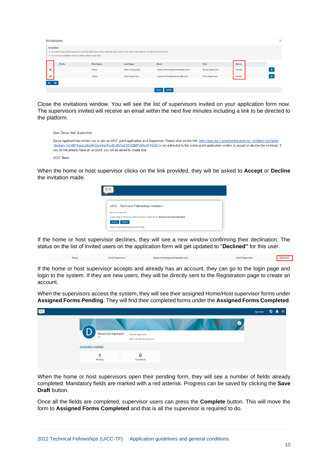| <b>Invitations</b>                                                                                                                                                                                                              |                   |                        |                              |                        |               | $\times$                  |  |  |
|---------------------------------------------------------------------------------------------------------------------------------------------------------------------------------------------------------------------------------|-------------------|------------------------|------------------------------|------------------------|---------------|---------------------------|--|--|
| Instructions<br>. To invite a Home/Host Supervisor, click the add button below, enter the supervisor's name and e-mail address and click the invite button.<br>. To cancel an invitation, click the delete button to the right. |                   |                        |                              |                        |               |                           |  |  |
| Prefix                                                                                                                                                                                                                          | <b>First Name</b> | <b>Last Name</b>       | Email                        | Role                   | <b>Status</b> |                           |  |  |
| A                                                                                                                                                                                                                               | Dorya             | <b>Home Supervisor</b> | drascon+home@smartsimple.com | <b>Home Supervisor</b> | Invited       | $\boldsymbol{\mathsf{x}}$ |  |  |
|                                                                                                                                                                                                                                 | Dorya             | <b>Host Supervisor</b> | drascon+host@smartsimple.com | <b>Host Supervisor</b> | Invited       |                           |  |  |
|                                                                                                                                                                                                                                 |                   |                        |                              |                        |               |                           |  |  |
|                                                                                                                                                                                                                                 |                   |                        | <b>Save</b><br><b>Invite</b> |                        |               |                           |  |  |

Close the invitations window. You will see the list of supervisors invited on your application form now. The supervisors invited will receive an email within the next five minutes including a link to be directed to the platform.

| Dear Dorva Host Supervisor.                                                                                                                                                                                                                                                                                                                                                                                       |
|-------------------------------------------------------------------------------------------------------------------------------------------------------------------------------------------------------------------------------------------------------------------------------------------------------------------------------------------------------------------------------------------------------------------|
| Dorya Applicant has invited you to join an UICC grant application as a Supervisor. Please click on this link: https://uicc.eu-1.smartsimple.eu/ex/ex invitation.isp?lang=<br>18.token=%24BhTcqqUpKcAKClznHmxFpx8lxRkVoX35%2BfPsMljv4F4%3D to be redirected to the online grant application system to accept or decline the invitation. If<br>you do not already have an account, you will be asked to create one. |
| <b>UICC Team</b>                                                                                                                                                                                                                                                                                                                                                                                                  |

When the home or host supervisor clicks on the link provided, they will be asked to **Accept** or **Decline** the invitation made.

| UICC - Technical Fellowships Invitation |                                                                                                       |  |
|-----------------------------------------|-------------------------------------------------------------------------------------------------------|--|
| Dorya Host Supervisor,                  |                                                                                                       |  |
|                                         | Please accept or decline the invitation to become a Supervisor for Technical Fellowships Application. |  |

If the home or host supervisor declines, they will see a new window confirming their declination. The status on the list of invited users on the application form will get updated to "**Declined"** for this user.

drascon+host@smartsimple.com Dorva **Host Supervisor Host Supervisor** Declined

If the home or host supervisor accepts and already has an account, they can go to the login page and login to the system. If they are new users, they will be directly sent to the Registration page to create an account.

When the supervisors access the system, they will see their assigned Home/Host supervisor forms under **Assigned Forms Pending**. They will find their completed forms under the **Assigned Forms Completed**.

| <b>FEE</b> |                               |                                                             | My Forms | $\bigcirc$ $\qquad \qquad \bullet$ D |  |
|------------|-------------------------------|-------------------------------------------------------------|----------|--------------------------------------|--|
|            | Dorya Host Supervisor<br>test | ⋒<br>Test Host Organisation<br>drascon+host@smartsimple.com |          |                                      |  |
|            | <b>ASSIGNED FORMS</b>         |                                                             |          |                                      |  |
|            | Pending                       | Completed                                                   |          |                                      |  |

When the home or host supervisors open their pending form, they will see a number of fields already completed. Mandatory fields are marked with a red asterisk. Progress can be saved by clicking the **Save Draft** button.

Once all the fields are completed, supervisor users can press the **Complete** button. This will move the form to **Assigned Forms Completed** and that is all the supervisor is required to do.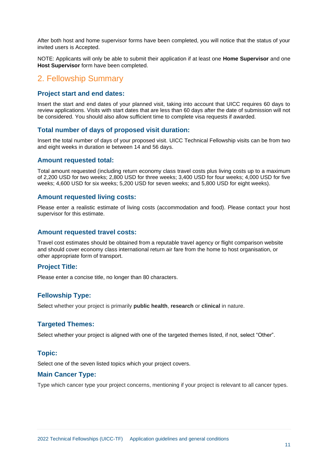After both host and home supervisor forms have been completed, you will notice that the status of your invited users is Accepted.

NOTE: Applicants will only be able to submit their application if at least one **Home Supervisor** and one **Host Supervisor** form have been completed.

# <span id="page-10-0"></span>2. Fellowship Summary

#### **Project start and end dates:**

Insert the start and end dates of your planned visit, taking into account that UICC requires 60 days to review applications. Visits with start dates that are less than 60 days after the date of submission will not be considered. You should also allow sufficient time to complete visa requests if awarded.

#### **Total number of days of proposed visit duration:**

Insert the total number of days of your proposed visit. UICC Technical Fellowship visits can be from two and eight weeks in duration ie between 14 and 56 days.

#### **Amount requested total:**

Total amount requested (including return economy class travel costs plus living costs up to a maximum of 2,200 USD for two weeks; 2,800 USD for three weeks; 3,400 USD for four weeks; 4,000 USD for five weeks; 4,600 USD for six weeks; 5,200 USD for seven weeks; and 5,800 USD for eight weeks).

#### **Amount requested living costs:**

Please enter a realistic estimate of living costs (accommodation and food). Please contact your host supervisor for this estimate.

#### **Amount requested travel costs:**

Travel cost estimates should be obtained from a reputable travel agency or flight comparison website and should cover economy class international return air fare from the home to host organisation, or other appropriate form of transport.

#### **Project Title:**

Please enter a concise title, no longer than 80 characters.

#### **Fellowship Type:**

Select whether your project is primarily **public health**, **research** or **clinical** in nature.

#### **Targeted Themes:**

Select whether your project is aligned with one of the targeted themes listed, if not, select "Other".

#### **Topic:**

Select one of the seven listed topics which your project covers.

#### **Main Cancer Type:**

Type which cancer type your project concerns, mentioning if your project is relevant to all cancer types.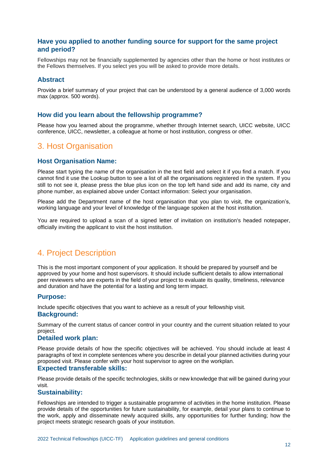#### **Have you applied to another funding source for support for the same project and period?**

Fellowships may not be financially supplemented by agencies other than the home or host institutes or the Fellows themselves. If you select yes you will be asked to provide more details.

#### **Abstract**

Provide a brief summary of your project that can be understood by a general audience of 3,000 words max (approx. 500 words).

#### **How did you learn about the fellowship programme?**

Please how you learned about the programme, whether through Internet search, UICC website, UICC conference, UICC, newsletter, a colleague at home or host institution, congress or other.

# <span id="page-11-0"></span>3. Host Organisation

#### **Host Organisation Name:**

Please start typing the name of the organisation in the text field and select it if you find a match. If you cannot find it use the Lookup button to see a list of all the organisations registered in the system. If you still to not see it, please press the blue plus icon on the top left hand side and add its name, city and phone number, as explained above under Contact information: Select your organisation.

Please add the Department name of the host organisation that you plan to visit, the organization's, working language and your level of knowledge of the language spoken at the host institution.

You are required to upload a scan of a signed letter of invitation on institution's headed notepaper. officially inviting the applicant to visit the host institution.

# <span id="page-11-1"></span>4. Project Description

This is the most important component of your application. It should be prepared by yourself and be approved by your home and host supervisors. It should include sufficient details to allow international peer reviewers who are experts in the field of your project to evaluate its quality, timeliness, relevance and duration and have the potential for a lasting and long term impact.

#### **Purpose:**

Include specific objectives that you want to achieve as a result of your fellowship visit. **Background:**

Summary of the current status of cancer control in your country and the current situation related to your project.

#### **Detailed work plan:**

Please provide details of how the specific objectives will be achieved. You should include at least 4 paragraphs of text in complete sentences where you describe in detail your planned activities during your proposed visit. Please confer with your host supervisor to agree on the workplan.

#### **Expected transferable skills:**

Please provide details of the specific technologies, skills or new knowledge that will be gained during your visit.

#### **Sustainability:**

Fellowships are intended to trigger a sustainable programme of activities in the home institution. Please provide details of the opportunities for future sustainability, for example, detail your plans to continue to the work, apply and disseminate newly acquired skills, any opportunities for further funding; how the project meets strategic research goals of your institution.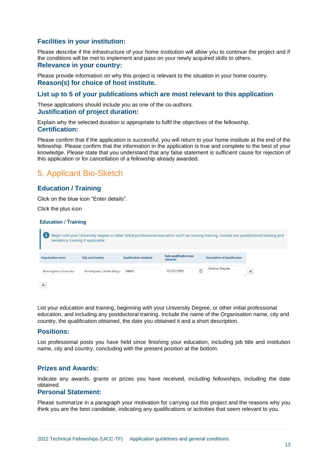#### **Facilities in your institution:**

Please describe if the infrastructure of your home institution will allow you to continue the project and if the conditions will be met to implement and pass on your newly acquired skills to others. **Relevance in your country:**

Please provide information on why this project is relevant to the situation in your home country. **Reason(s) for choice of host institute.**

#### **List up to 5 of your publications which are most relevant to this application**

These applications should include you as one of the co-authors. **Justification of project duration:**

Explain why the selected duration is appropriate to fulfil the objectives of the fellowship. **Certification:**

Please confirm that if the application is successful, you will return to your home institute at the end of the fellowship. Please confirm that the information in the application is true and complete to the best of your knowledge. Please state that you understand that any false statement is sufficient cause for rejection of this application or for cancellation of a fellowship already awarded.

# <span id="page-12-0"></span>5. Applicant Bio-Sketch

#### **Education / Training**

Click on the blue icon "Enter details".

Click the plus icon

#### **Education / Training**

| residency training if applicable. | Begin with your University degree or other initial professional education such as nursing training, include any postdoctoral training and |                               |                                           |   |                                     |          |
|-----------------------------------|-------------------------------------------------------------------------------------------------------------------------------------------|-------------------------------|-------------------------------------------|---|-------------------------------------|----------|
| <b>Organisation name</b>          | <b>City and Country</b>                                                                                                                   | <b>Oualification obtained</b> | <b>Date qualification was</b><br>obtained |   | <b>Description of Qualification</b> |          |
| Birmingham University             | Birmingham, United Kingd                                                                                                                  | <b>MBBS</b>                   | 03/05/2005                                | 曲 | <b>Medical Degree</b>               | $\times$ |
| +                                 |                                                                                                                                           |                               |                                           |   |                                     |          |

List your education and training, beginning with your University Degree, or other initial professional education, and including any postdoctoral training. Include the name of the Organisation name, city and country, the qualification obtained, the date you obtained it and a short description.

#### **Positions:**

List professional posts you have held since finishing your education, including job title and institution name, city and country, concluding with the present position at the bottom.

#### **Prizes and Awards:**

Indicate any awards, grants or prizes you have received, including fellowships, including the date obtained.

#### **Personal Statement:**

Please summarize in a paragraph your motivation for carrying out this project and the reasons why you think you are the best candidate, indicating any qualifications or activities that seem relevant to you.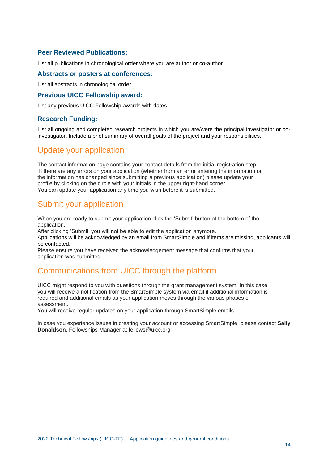#### **Peer Reviewed Publications:**

List all publications in chronological order where you are author or co-author.

#### **Abstracts or posters at conferences:**

List all abstracts in chronological order.

#### **Previous UICC Fellowship award:**

List any previous UICC Fellowship awards with dates.

#### **Research Funding:**

List all ongoing and completed research projects in which you are/were the principal investigator or coinvestigator. Include a brief summary of overall goals of the project and your responsibilities.

# <span id="page-13-0"></span>Update your application

The contact information page contains your contact details from the initial registration step. If there are any errors on your application (whether from an error entering the information or the information has changed since submitting a previous application) please update your profile by clicking on the circle with your initials in the upper right-hand corner. You can update your application any time you wish before it is submitted.

# <span id="page-13-1"></span>Submit your application

When you are ready to submit your application click the 'Submit' button at the bottom of the application.

After clicking 'Submit' you will not be able to edit the application anymore.

Applications will be acknowledged by an email from SmartSimple and if items are missing, applicants will be contacted.

Please ensure you have received the acknowledgement message that confirms that your application was submitted.

# <span id="page-13-2"></span>Communications from UICC through the platform

UICC might respond to you with questions through the grant management system. In this case, you will receive a notification from the SmartSimple system via email if additional information is required and additional emails as your application moves through the various phases of assessment.

You will receive regular updates on your application through SmartSimple emails.

In case you experience issues in creating your account or accessing SmartSimple, please contact **Sally Donaldson**, Fellowships Manager at [fellows@uicc.org](mailto:fellows@uicc.org)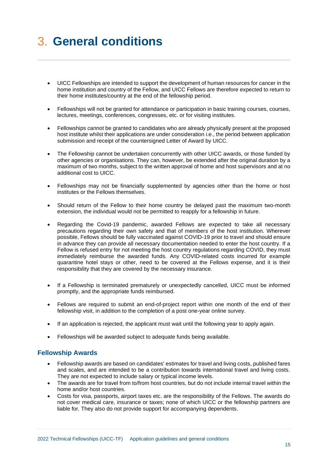# <span id="page-14-0"></span>3. **General conditions**

- UICC Fellowships are intended to support the development of human resources for cancer in the home institution and country of the Fellow, and UICC Fellows are therefore expected to return to their home institutes/country at the end of the fellowship period.
- Fellowships will not be granted for attendance or participation in basic training courses, courses, lectures, meetings, conferences, congresses, etc. or for visiting institutes.
- Fellowships cannot be granted to candidates who are already physically present at the proposed host institute whilst their applications are under consideration i.e., the period between application submission and receipt of the countersigned Letter of Award by UICC.
- The Fellowship cannot be undertaken concurrently with other UICC awards, or those funded by other agencies or organisations. They can, however, be extended after the original duration by a maximum of two months, subject to the written approval of home and host supervisors and at no additional cost to UICC.
- Fellowships may not be financially supplemented by agencies other than the home or host institutes or the Fellows themselves.
- Should return of the Fellow to their home country be delayed past the maximum two-month extension, the individual would not be permitted to reapply for a fellowship in future.
- Regarding the Covid-19 pandemic, awarded Fellows are expected to take all necessary precautions regarding their own safety and that of members of the host institution. Wherever possible, Fellows should be fully vaccinated against COVID-19 prior to travel and should ensure in advance they can provide all necessary documentation needed to enter the host country. If a Fellow is refused entry for not meeting the host country regulations regarding COVID, they must immediately reimburse the awarded funds. Any COVID-related costs incurred for example quarantine hotel stays or other, need to be covered at the Fellows expense, and it is their responsibility that they are covered by the necessary insurance.
- If a Fellowship is terminated prematurely or unexpectedly cancelled, UICC must be informed promptly, and the appropriate funds reimbursed.
- Fellows are required to submit an end-of-project report within one month of the end of their fellowship visit, in addition to the completion of a post one-year online survey.
- If an application is rejected, the applicant must wait until the following year to apply again.
- Fellowships will be awarded subject to adequate funds being available.

#### **Fellowship Awards**

- Fellowship awards are based on candidates' estimates for travel and living costs, published fares and scales, and are intended to be a contribution towards international travel and living costs. They are not expected to include salary or typical income levels.
- The awards are for travel from to/from host countries, but do not include internal travel within the home and/or host countries.
- Costs for visa, passports, airport taxes etc. are the responsibility of the Fellows. The awards do not cover medical care, insurance or taxes; none of which UICC or the fellowship partners are liable for. They also do not provide support for accompanying dependents.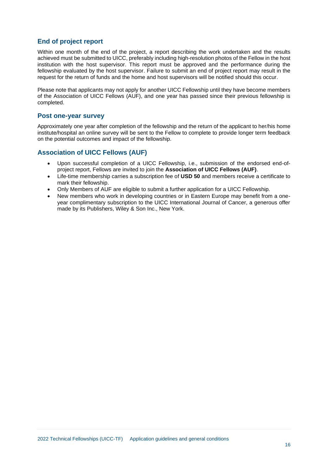#### **End of project report**

Within one month of the end of the project, a report describing the work undertaken and the results achieved must be submitted to UICC, preferably including high-resolution photos of the Fellow in the host institution with the host supervisor. This report must be approved and the performance during the fellowship evaluated by the host supervisor. Failure to submit an end of project report may result in the request for the return of funds and the home and host supervisors will be notified should this occur.

Please note that applicants may not apply for another UICC Fellowship until they have become members of the Association of UICC Fellows (AUF), and one year has passed since their previous fellowship is completed.

#### **Post one-year survey**

Approximately one year after completion of the fellowship and the return of the applicant to her/his home institute/hospital an online survey will be sent to the Fellow to complete to provide longer term feedback on the potential outcomes and impact of the fellowship.

#### **Association of UICC Fellows (AUF)**

- Upon successful completion of a UICC Fellowship, i.e., submission of the endorsed end-ofproject report, Fellows are invited to join the **Association of UICC Fellows (AUF)**.
- Life-time membership carries a subscription fee of **USD 50** and members receive a certificate to mark their fellowship.
- Only Members of AUF are eligible to submit a further application for a UICC Fellowship.
- New members who work in developing countries or in Eastern Europe may benefit from a oneyear complimentary subscription to the UICC International Journal of Cancer, a generous offer made by its Publishers, Wiley & Son Inc., New York.